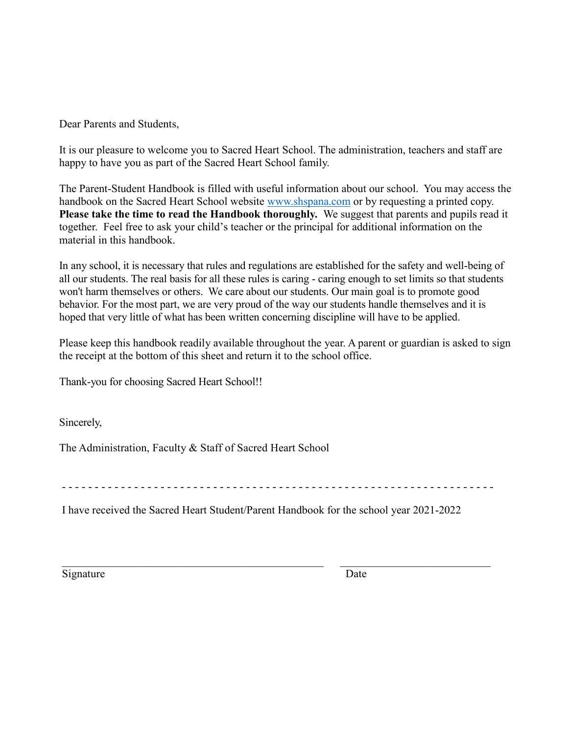Dear Parents and Students,

It is our pleasure to welcome you to Sacred Heart School. The administration, teachers and staff are happy to have you as part of the Sacred Heart School family.

The Parent-Student Handbook is filled with useful information about our school. You may access the handbook on the Sacred Heart School website [www.shspana.com](http://www.shspana.com/) or by requesting a printed copy. **Please take the time to read the Handbook thoroughly.** We suggest that parents and pupils read it together. Feel free to ask your child's teacher or the principal for additional information on the material in this handbook.

In any school, it is necessary that rules and regulations are established for the safety and well-being of all our students. The real basis for all these rules is caring - caring enough to set limits so that students won't harm themselves or others. We care about our students. Our main goal is to promote good behavior. For the most part, we are very proud of the way our students handle themselves and it is hoped that very little of what has been written concerning discipline will have to be applied.

Please keep this handbook readily available throughout the year. A parent or guardian is asked to sign the receipt at the bottom of this sheet and return it to the school office.

Thank-you for choosing Sacred Heart School!!

Sincerely,

The Administration, Faculty & Staff of Sacred Heart School

- - - - - - - - - - - - - - - - - - - - - - - - - - - - - - - - - - - - - - - - - - - - - - - - - - - - - - - - - - - - - - - - - -

\_\_\_\_\_\_\_\_\_\_\_\_\_\_\_\_\_\_\_\_\_\_\_\_\_\_\_\_\_\_\_\_\_\_\_\_\_\_\_\_\_\_\_\_\_\_\_ \_\_\_\_\_\_\_\_\_\_\_\_\_\_\_\_\_\_\_\_\_\_\_\_\_\_\_

I have received the Sacred Heart Student/Parent Handbook for the school year 2021-2022

Signature Date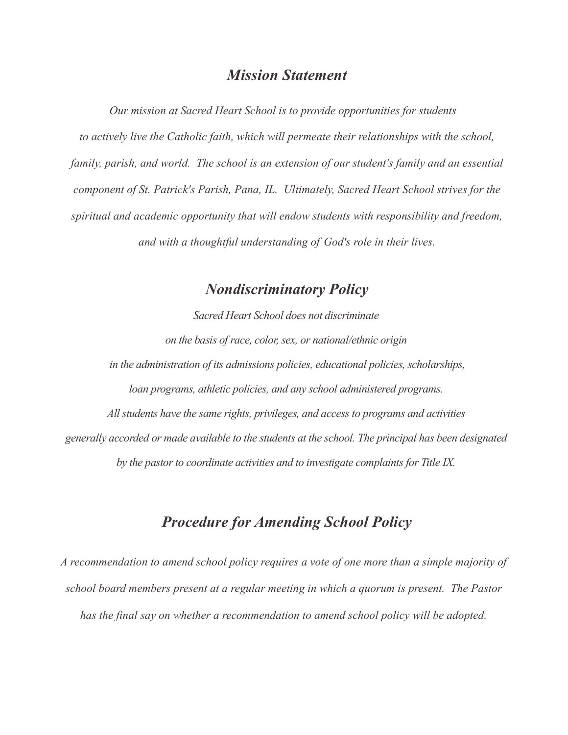## *Mission Statement*

*Our mission at Sacred Heart School is to provide opportunities for students to actively live the Catholic faith, which will permeate their relationships with the school, family, parish, and world. The school is an extension of our student's family and an essential component of St. Patrick's Parish, Pana, IL. Ultimately, Sacred Heart School strives for the spiritual and academic opportunity that will endow students with responsibility and freedom, and with a thoughtful understanding of God's role in their lives.*

# *Nondiscriminatory Policy*

*Sacred Heart School does not discriminate on the basis of race, color, sex, or national/ethnic origin in the administration of its admissions policies, educational policies, scholarships, loan programs, athletic policies, and any school administered programs. All students have the same rights, privileges, and access to programs and activities generally accorded or made available to the students at the school. The principal has been designated by the pastor to coordinate activities and to investigate complaints for Title IX.*

# *Procedure for Amending School Policy*

*A recommendation to amend school policy requires a vote of one more than a simple majority of school board members present at a regular meeting in which a quorum is present. The Pastor has the final say on whether a recommendation to amend school policy will be adopted.*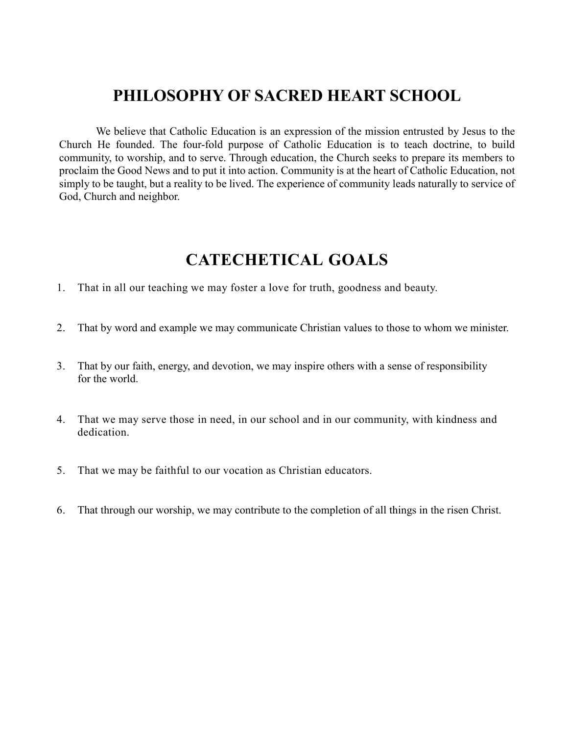# **PHILOSOPHY OF SACRED HEART SCHOOL**

We believe that Catholic Education is an expression of the mission entrusted by Jesus to the Church He founded. The four-fold purpose of Catholic Education is to teach doctrine, to build community, to worship, and to serve. Through education, the Church seeks to prepare its members to proclaim the Good News and to put it into action. Community is at the heart of Catholic Education, not simply to be taught, but a reality to be lived. The experience of community leads naturally to service of God, Church and neighbor.

# **CATECHETICAL GOALS**

- 1. That in all our teaching we may foster a love for truth, goodness and beauty.
- 2. That by word and example we may communicate Christian values to those to whom we minister.
- 3. That by our faith, energy, and devotion, we may inspire others with a sense of responsibility for the world.
- 4. That we may serve those in need, in our school and in our community, with kindness and dedication.
- 5. That we may be faithful to our vocation as Christian educators.
- 6. That through our worship, we may contribute to the completion of all things in the risen Christ.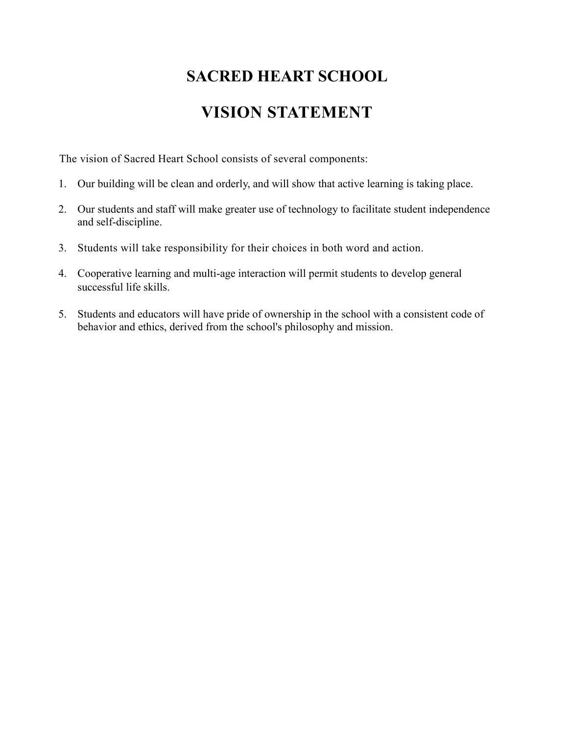# **SACRED HEART SCHOOL**

# **VISION STATEMENT**

The vision of Sacred Heart School consists of several components:

- 1. Our building will be clean and orderly, and will show that active learning is taking place.
- 2. Our students and staff will make greater use of technology to facilitate student independence and self-discipline.
- 3. Students will take responsibility for their choices in both word and action.
- 4. Cooperative learning and multi-age interaction will permit students to develop general successful life skills.
- 5. Students and educators will have pride of ownership in the school with a consistent code of behavior and ethics, derived from the school's philosophy and mission.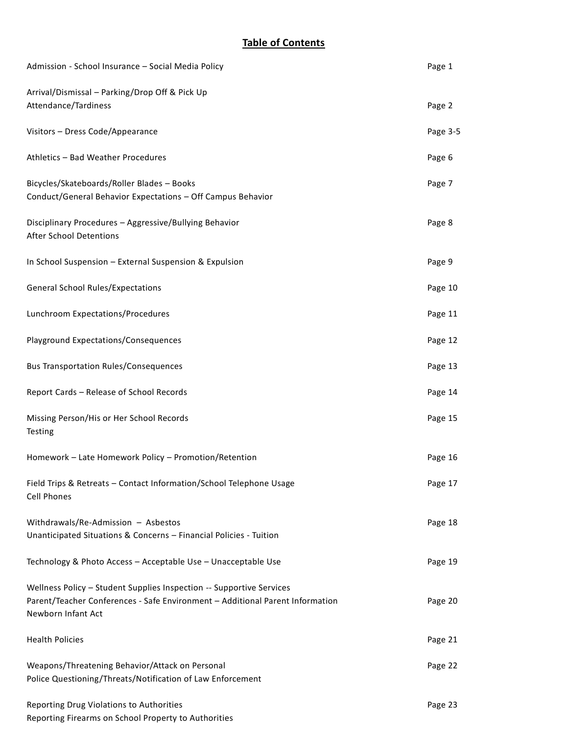## **Table of Contents**

| Admission - School Insurance - Social Media Policy                                                                                                                          | Page 1   |
|-----------------------------------------------------------------------------------------------------------------------------------------------------------------------------|----------|
| Arrival/Dismissal - Parking/Drop Off & Pick Up<br>Attendance/Tardiness                                                                                                      | Page 2   |
| Visitors - Dress Code/Appearance                                                                                                                                            | Page 3-5 |
| Athletics - Bad Weather Procedures                                                                                                                                          | Page 6   |
| Bicycles/Skateboards/Roller Blades - Books<br>Conduct/General Behavior Expectations - Off Campus Behavior                                                                   | Page 7   |
| Disciplinary Procedures - Aggressive/Bullying Behavior<br><b>After School Detentions</b>                                                                                    | Page 8   |
| In School Suspension - External Suspension & Expulsion                                                                                                                      | Page 9   |
| <b>General School Rules/Expectations</b>                                                                                                                                    | Page 10  |
| Lunchroom Expectations/Procedures                                                                                                                                           | Page 11  |
| <b>Playground Expectations/Consequences</b>                                                                                                                                 | Page 12  |
| <b>Bus Transportation Rules/Consequences</b>                                                                                                                                | Page 13  |
| Report Cards - Release of School Records                                                                                                                                    | Page 14  |
| Missing Person/His or Her School Records<br>Testing                                                                                                                         | Page 15  |
| Homework - Late Homework Policy - Promotion/Retention                                                                                                                       | Page 16  |
| Field Trips & Retreats - Contact Information/School Telephone Usage<br><b>Cell Phones</b>                                                                                   | Page 17  |
| Withdrawals/Re-Admission - Asbestos<br>Unanticipated Situations & Concerns - Financial Policies - Tuition                                                                   | Page 18  |
| Technology & Photo Access - Acceptable Use - Unacceptable Use                                                                                                               | Page 19  |
| Wellness Policy - Student Supplies Inspection -- Supportive Services<br>Parent/Teacher Conferences - Safe Environment - Additional Parent Information<br>Newborn Infant Act | Page 20  |
| <b>Health Policies</b>                                                                                                                                                      | Page 21  |
| Weapons/Threatening Behavior/Attack on Personal<br>Police Questioning/Threats/Notification of Law Enforcement                                                               | Page 22  |
| Reporting Drug Violations to Authorities<br>Reporting Firearms on School Property to Authorities                                                                            | Page 23  |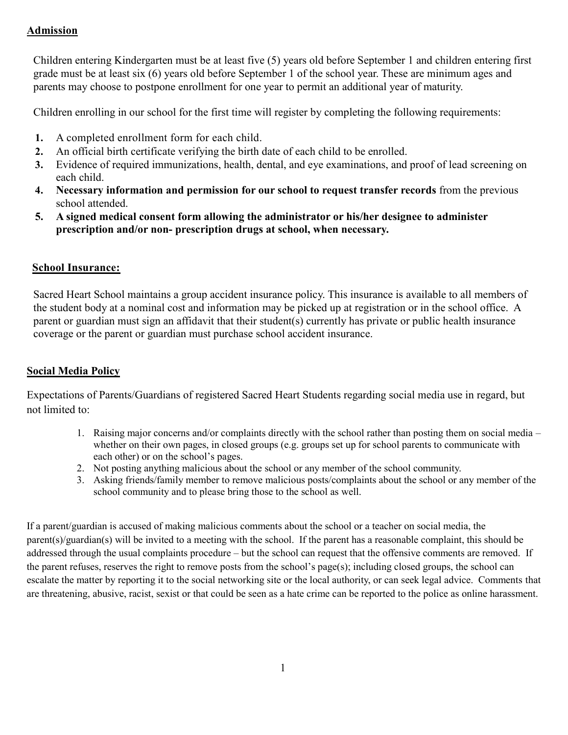## **Admission**

Children entering Kindergarten must be at least five (5) years old before September 1 and children entering first grade must be at least six (6) years old before September 1 of the school year. These are minimum ages and parents may choose to postpone enrollment for one year to permit an additional year of maturity.

Children enrolling in our school for the first time will register by completing the following requirements:

- **1.** A completed enrollment form for each child.
- **2.** An official birth certificate verifying the birth date of each child to be enrolled.
- **3.** Evidence of required immunizations, health, dental, and eye examinations, and proof of lead screening on each child.
- **4. Necessary information and permission for our school to request transfer records** from the previous school attended.
- **5. A signed medical consent form allowing the administrator or his/her designee to administer prescription and/or non- prescription drugs at school, when necessary.**

#### **School Insurance:**

Sacred Heart School maintains a group accident insurance policy. This insurance is available to all members of the student body at a nominal cost and information may be picked up at registration or in the school office. A parent or guardian must sign an affidavit that their student(s) currently has private or public health insurance coverage or the parent or guardian must purchase school accident insurance.

## **Social Media Policy**

Expectations of Parents/Guardians of registered Sacred Heart Students regarding social media use in regard, but not limited to:

- 1. Raising major concerns and/or complaints directly with the school rather than posting them on social media whether on their own pages, in closed groups (e.g. groups set up for school parents to communicate with each other) or on the school's pages.
- 2. Not posting anything malicious about the school or any member of the school community.
- 3. Asking friends/family member to remove malicious posts/complaints about the school or any member of the school community and to please bring those to the school as well.

If a parent/guardian is accused of making malicious comments about the school or a teacher on social media, the parent(s)/guardian(s) will be invited to a meeting with the school. If the parent has a reasonable complaint, this should be addressed through the usual complaints procedure – but the school can request that the offensive comments are removed. If the parent refuses, reserves the right to remove posts from the school's page(s); including closed groups, the school can escalate the matter by reporting it to the social networking site or the local authority, or can seek legal advice. Comments that are threatening, abusive, racist, sexist or that could be seen as a hate crime can be reported to the police as online harassment.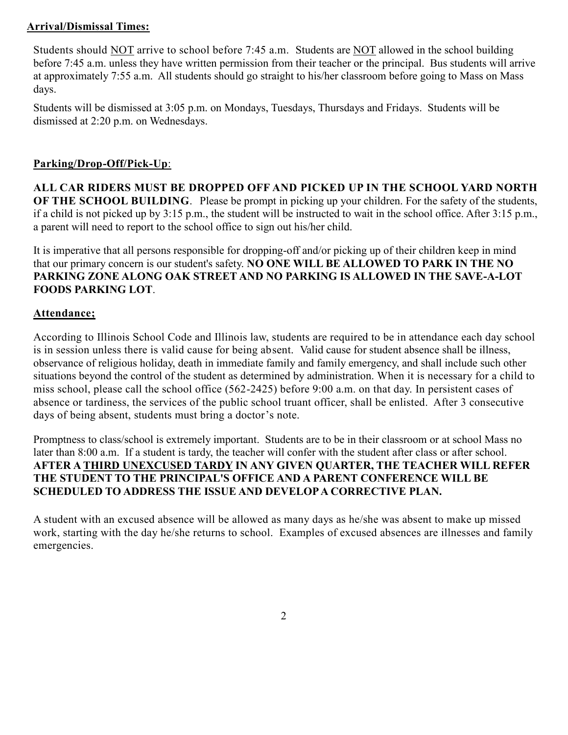## **Arrival/Dismissal Times:**

Students should NOT arrive to school before 7:45 a.m. Students are NOT allowed in the school building before 7:45 a.m. unless they have written permission from their teacher or the principal. Bus students will arrive at approximately 7:55 a.m. All students should go straight to his/her classroom before going to Mass on Mass days.

Students will be dismissed at 3:05 p.m. on Mondays, Tuesdays, Thursdays and Fridays. Students will be dismissed at 2:20 p.m. on Wednesdays.

## **Parking/Drop-Off/Pick-Up**:

**ALL CAR RIDERS MUST BE DROPPED OFF AND PICKED UP IN THE SCHOOL YARD NORTH OF THE SCHOOL BUILDING.** Please be prompt in picking up your children. For the safety of the students, if a child is not picked up by 3:15 p.m., the student will be instructed to wait in the school office. After 3:15 p.m., a parent will need to report to the school office to sign out his/her child.

It is imperative that all persons responsible for dropping-off and/or picking up of their children keep in mind that our primary concern is our student's safety. **NO ONE WILL BE ALLOWED TO PARK IN THE NO PARKING ZONE ALONG OAK STREET AND NO PARKING IS ALLOWED IN THE SAVE-A-LOT FOODS PARKING LOT**.

## **Attendance;**

According to Illinois School Code and Illinois law, students are required to be in attendance each day school is in session unless there is valid cause for being absent. Valid cause for student absence shall be illness, observance of religious holiday, death in immediate family and family emergency, and shall include such other situations beyond the control of the student as determined by administration. When it is necessary for a child to miss school, please call the school office (562-2425) before 9:00 a.m. on that day. In persistent cases of absence or tardiness, the services of the public school truant officer, shall be enlisted. After 3 consecutive days of being absent, students must bring a doctor's note.

Promptness to class/school is extremely important. Students are to be in their classroom or at school Mass no later than 8:00 a.m. If a student is tardy, the teacher will confer with the student after class or after school. **AFTER A THIRD UNEXCUSED TARDY IN ANY GIVEN QUARTER, THE TEACHER WILL REFER THE STUDENT TO THE PRINCIPAL'S OFFICE AND A PARENT CONFERENCE WILL BE SCHEDULED TO ADDRESS THE ISSUE AND DEVELOP A CORRECTIVE PLAN.**

A student with an excused absence will be allowed as many days as he/she was absent to make up missed work, starting with the day he/she returns to school. Examples of excused absences are illnesses and family emergencies.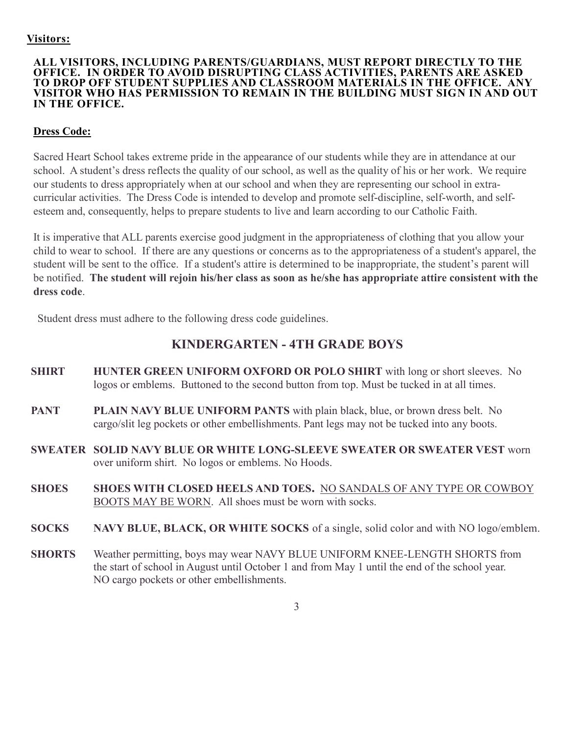#### **Visitors:**

#### **ALL VISITORS, INCLUDING PARENTS/GUARDIANS, MUST REPORT DIRECTLY TO THE OFFICE. IN ORDER TO AVOID DISRUPTING CLASS ACTIVITIES, PARENTS ARE ASKED TO DROP OFF STUDENT SUPPLIES AND CLASSROOM MATERIALS IN THE OFFICE. ANY VISITOR WHO HAS PERMISSION TO REMAIN IN THE BUILDING MUST SIGN IN AND OUT IN THE OFFICE.**

## **Dress Code:**

Sacred Heart School takes extreme pride in the appearance of our students while they are in attendance at our school. A student's dress reflects the quality of our school, as well as the quality of his or her work. We require our students to dress appropriately when at our school and when they are representing our school in extracurricular activities. The Dress Code is intended to develop and promote self-discipline, self-worth, and selfesteem and, consequently, helps to prepare students to live and learn according to our Catholic Faith.

It is imperative that ALL parents exercise good judgment in the appropriateness of clothing that you allow your child to wear to school. If there are any questions or concerns as to the appropriateness of a student's apparel, the student will be sent to the office. If a student's attire is determined to be inappropriate, the student's parent will be notified. **The student will rejoin his/her class as soon as he/she has appropriate attire consistent with the dress code**.

Student dress must adhere to the following dress code guidelines.

# **KINDERGARTEN - 4TH GRADE BOYS**

- **SHIRT HUNTER GREEN UNIFORM OXFORD OR POLO SHIRT** with long or short sleeves. No logos or emblems. Buttoned to the second button from top. Must be tucked in at all times.
- **PANT** PLAIN NAVY BLUE UNIFORM PANTS with plain black, blue, or brown dress belt. No cargo/slit leg pockets or other embellishments. Pant legs may not be tucked into any boots.
- **SWEATER SOLID NAVY BLUE OR WHITE LONG-SLEEVE SWEATER OR SWEATER VEST** worn over uniform shirt. No logos or emblems. No Hoods.
- **SHOES SHOES WITH CLOSED HEELS AND TOES.** NO SANDALS OF ANY TYPE OR COWBOY BOOTS MAY BE WORN. All shoes must be worn with socks.
- **SOCKS NAVY BLUE, BLACK, OR WHITE SOCKS** of a single, solid color and with NO logo/emblem.
- **SHORTS** Weather permitting, boys may wear NAVY BLUE UNIFORM KNEE-LENGTH SHORTS from the start of school in August until October 1 and from May 1 until the end of the school year. NO cargo pockets or other embellishments.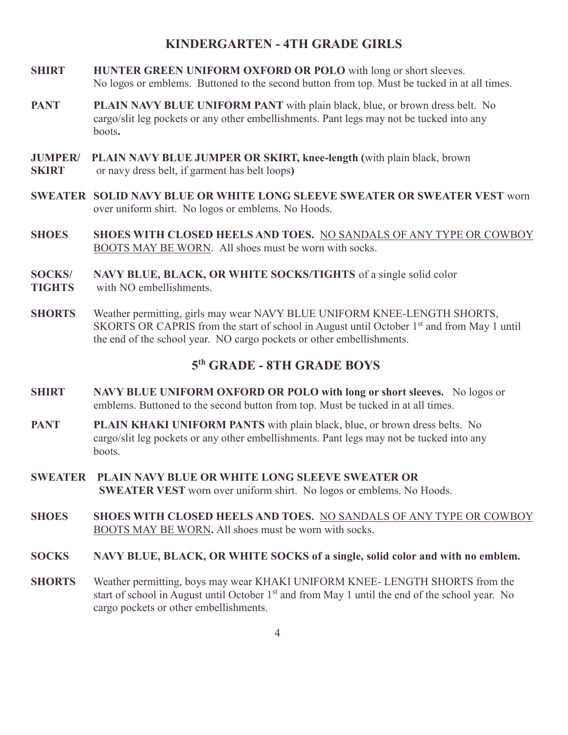## **KINDERGARTEN - 4TH GRADE GIRLS**

- **SHIRT HUNTER GREEN UNIFORM OXFORD OR POLO** with long or short sleeves. No logos or emblems. Buttoned to the second button from top. Must be tucked in at all times.
- **PANT** PLAIN NAVY BLUE UNIFORM PANT with plain black, blue, or brown dress belt. No cargo/slit leg pockets or any other embellishments. Pant legs may not be tucked into any boots**.**
- **JUMPER/ PLAIN NAVY BLUE JUMPER OR SKIRT, knee-length (**with plain black, brown **SKIRT** or navy dress belt, if garment has belt loops**)**
- **SWEATER SOLID NAVY BLUE OR WHITE LONG SLEEVE SWEATER OR SWEATER VEST** worn over uniform shirt. No logos or emblems. No Hoods.
- **SHOES SHOES WITH CLOSED HEELS AND TOES.** NO SANDALS OF ANY TYPE OR COWBOY BOOTS MAY BE WORN. All shoes must be worn with socks.
- **SOCKS/ NAVY BLUE, BLACK, OR WHITE SOCKS/TIGHTS** of a single solid color
- **TIGHTS** with NO embellishments.
- **SHORTS** Weather permitting, girls may wear NAVY BLUE UNIFORM KNEE-LENGTH SHORTS, SKORTS OR CAPRIS from the start of school in August until October 1<sup>st</sup> and from May 1 until the end of the school year. NO cargo pockets or other embellishments.

# **5 th GRADE - 8TH GRADE BOYS**

- **SHIRT NAVY BLUE UNIFORM OXFORD OR POLO with long or short sleeves.** No logos or emblems. Buttoned to the second button from top. Must be tucked in at all times.
- **PANT PLAIN KHAKI UNIFORM PANTS** with plain black, blue, or brown dress belts. No cargo/slit leg pockets or any other embellishments. Pant legs may not be tucked into any **boots**
- **SWEATER PLAIN NAVY BLUE OR WHITE LONG SLEEVE SWEATER OR SWEATER VEST** worn over uniform shirt. No logos or emblems. No Hoods.
- **SHOES SHOES WITH CLOSED HEELS AND TOES.** NO SANDALS OF ANY TYPE OR COWBOY BOOTS MAY BE WORN**.** All shoes must be worn with socks.
- **SOCKS NAVY BLUE, BLACK, OR WHITE SOCKS of a single, solid color and with no emblem.**
- **SHORTS** Weather permitting, boys may wear KHAKI UNIFORM KNEE- LENGTH SHORTS from the start of school in August until October  $1<sup>st</sup>$  and from May 1 until the end of the school year. No cargo pockets or other embellishments.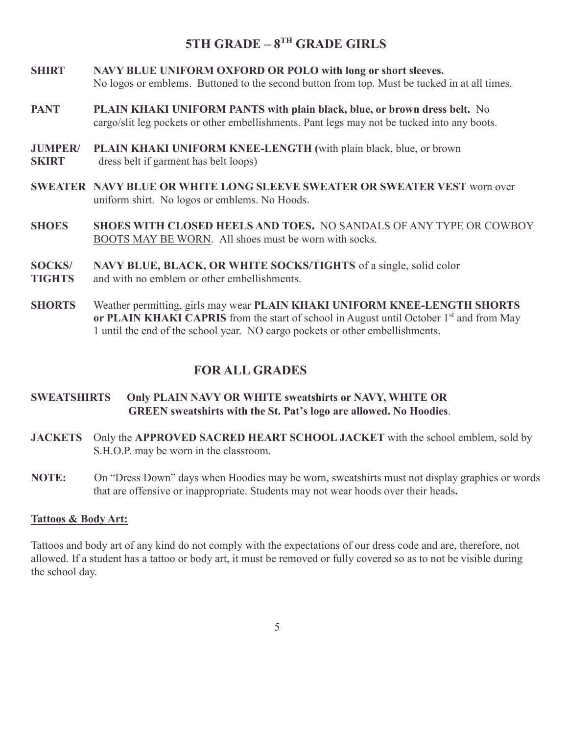# **5TH GRADE – 8 TH GRADE GIRLS**

- **SHIRT NAVY BLUE UNIFORM OXFORD OR POLO with long or short sleeves.**  No logos or emblems. Buttoned to the second button from top. Must be tucked in at all times.
- **PANT PLAIN KHAKI UNIFORM PANTS with plain black, blue, or brown dress belt.** No cargo/slit leg pockets or other embellishments. Pant legs may not be tucked into any boots.
- **JUMPER/ PLAIN KHAKI UNIFORM KNEE-LENGTH (**with plain black, blue, or brown **SKIRT** dress belt if garment has belt loops)
- **SWEATER NAVY BLUE OR WHITE LONG SLEEVE SWEATER OR SWEATER VEST** worn over uniform shirt. No logos or emblems. No Hoods.
- **SHOES SHOES WITH CLOSED HEELS AND TOES.** NO SANDALS OF ANY TYPE OR COWBOY BOOTS MAY BE WORN. All shoes must be worn with socks.
- **SOCKS/ NAVY BLUE, BLACK, OR WHITE SOCKS/TIGHTS** of a single, solid color
- **TIGHTS** and with no emblem or other embellishments.
- **SHORTS** Weather permitting, girls may wear **PLAIN KHAKI UNIFORM KNEE-LENGTH SHORTS or PLAIN KHAKI CAPRIS** from the start of school in August until October 1<sup>st</sup> and from May 1 until the end of the school year. NO cargo pockets or other embellishments.

## **FOR ALL GRADES**

#### **SWEATSHIRTS Only PLAIN NAVY OR WHITE sweatshirts or NAVY, WHITE OR GREEN sweatshirts with the St. Pat's logo are allowed. No Hoodies**.

- **JACKETS** Only the **APPROVED SACRED HEART SCHOOL JACKET** with the school emblem, sold by S.H.O.P. may be worn in the classroom.
- **NOTE:** On "Dress Down" days when Hoodies may be worn, sweatshirts must not display graphics or words that are offensive or inappropriate. Students may not wear hoods over their heads**.**

#### **Tattoos & Body Art:**

Tattoos and body art of any kind do not comply with the expectations of our dress code and are, therefore, not allowed. If a student has a tattoo or body art, it must be removed or fully covered so as to not be visible during the school day.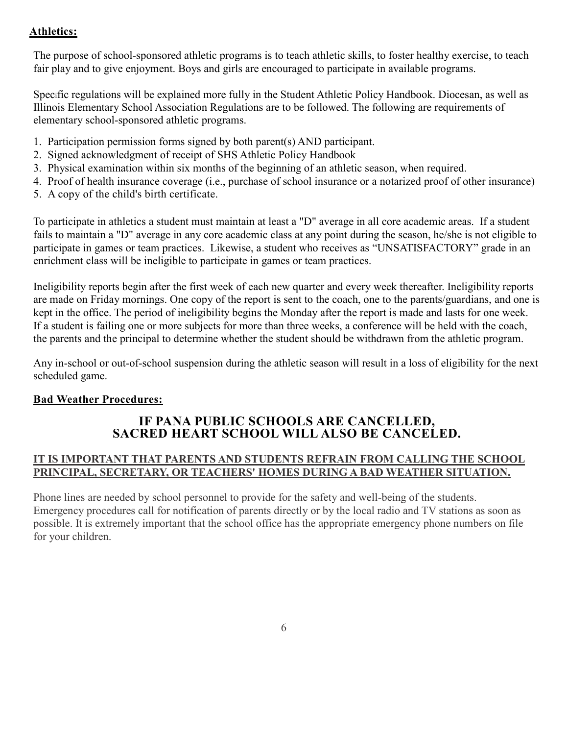## **Athletics:**

The purpose of school-sponsored athletic programs is to teach athletic skills, to foster healthy exercise, to teach fair play and to give enjoyment. Boys and girls are encouraged to participate in available programs.

Specific regulations will be explained more fully in the Student Athletic Policy Handbook. Diocesan, as well as Illinois Elementary School Association Regulations are to be followed. The following are requirements of elementary school-sponsored athletic programs.

- 1. Participation permission forms signed by both parent(s) AND participant.
- 2. Signed acknowledgment of receipt of SHS Athletic Policy Handbook
- 3. Physical examination within six months of the beginning of an athletic season, when required.
- 4. Proof of health insurance coverage (i.e., purchase of school insurance or a notarized proof of other insurance)
- 5. A copy of the child's birth certificate.

To participate in athletics a student must maintain at least a "D" average in all core academic areas. If a student fails to maintain a "D" average in any core academic class at any point during the season, he/she is not eligible to participate in games or team practices. Likewise, a student who receives as "UNSATISFACTORY" grade in an enrichment class will be ineligible to participate in games or team practices.

Ineligibility reports begin after the first week of each new quarter and every week thereafter. Ineligibility reports are made on Friday mornings. One copy of the report is sent to the coach, one to the parents/guardians, and one is kept in the office. The period of ineligibility begins the Monday after the report is made and lasts for one week. If a student is failing one or more subjects for more than three weeks, a conference will be held with the coach, the parents and the principal to determine whether the student should be withdrawn from the athletic program.

Any in-school or out-of-school suspension during the athletic season will result in a loss of eligibility for the next scheduled game.

#### **Bad Weather Procedures:**

# **IF PANA PUBLIC SCHOOLS ARE CANCELLED, SACRED HEART SCHOOL WILL ALSO BE CANCELED.**

## **IT IS IMPORTANT THAT PARENTS AND STUDENTS REFRAIN FROM CALLING THE SCHOOL PRINCIPAL, SECRETARY, OR TEACHERS' HOMES DURING A BAD WEATHER SITUATION.**

Phone lines are needed by school personnel to provide for the safety and well-being of the students. Emergency procedures call for notification of parents directly or by the local radio and TV stations as soon as possible. It is extremely important that the school office has the appropriate emergency phone numbers on file for your children.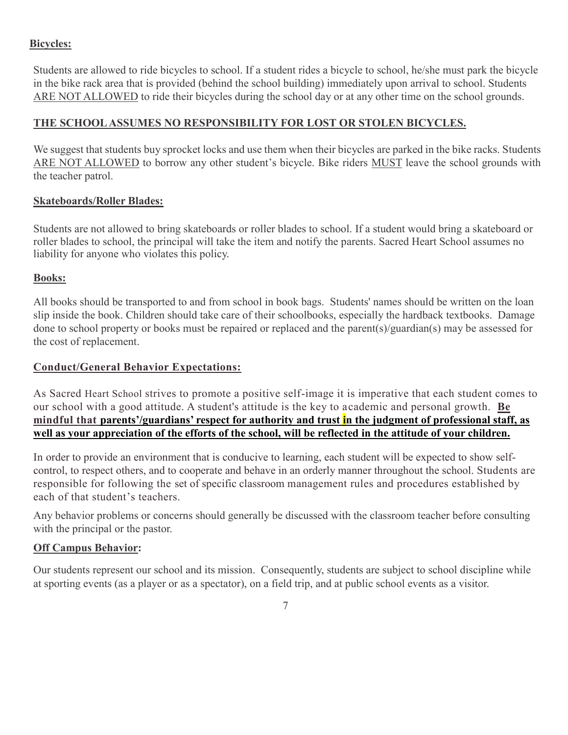#### **Bicycles:**

Students are allowed to ride bicycles to school. If a student rides a bicycle to school, he/she must park the bicycle in the bike rack area that is provided (behind the school building) immediately upon arrival to school. Students ARE NOT ALLOWED to ride their bicycles during the school day or at any other time on the school grounds.

## **THE SCHOOL ASSUMES NO RESPONSIBILITY FOR LOST OR STOLEN BICYCLES.**

We suggest that students buy sprocket locks and use them when their bicycles are parked in the bike racks. Students ARE NOT ALLOWED to borrow any other student's bicycle. Bike riders MUST leave the school grounds with the teacher patrol.

#### **Skateboards/Roller Blades:**

Students are not allowed to bring skateboards or roller blades to school. If a student would bring a skateboard or roller blades to school, the principal will take the item and notify the parents. Sacred Heart School assumes no liability for anyone who violates this policy.

## **Books:**

All books should be transported to and from school in book bags. Students' names should be written on the loan slip inside the book. Children should take care of their schoolbooks, especially the hardback textbooks. Damage done to school property or books must be repaired or replaced and the parent(s)/guardian(s) may be assessed for the cost of replacement.

#### **Conduct/General Behavior Expectations:**

As Sacred Heart School strives to promote a positive self-image it is imperative that each student comes to our school with a good attitude. A student's attitude is the key to academic and personal growth. **Be mindful that parents'/guardians' respect for authority and trust in the judgment of professional staff, as well as your appreciation of the efforts of the school, will be reflected in the attitude of your children.**

In order to provide an environment that is conducive to learning, each student will be expected to show selfcontrol, to respect others, and to cooperate and behave in an orderly manner throughout the school. Students are responsible for following the set of specific classroom management rules and procedures established by each of that student's teachers.

Any behavior problems or concerns should generally be discussed with the classroom teacher before consulting with the principal or the pastor.

#### **Off Campus Behavior:**

Our students represent our school and its mission. Consequently, students are subject to school discipline while at sporting events (as a player or as a spectator), on a field trip, and at public school events as a visitor.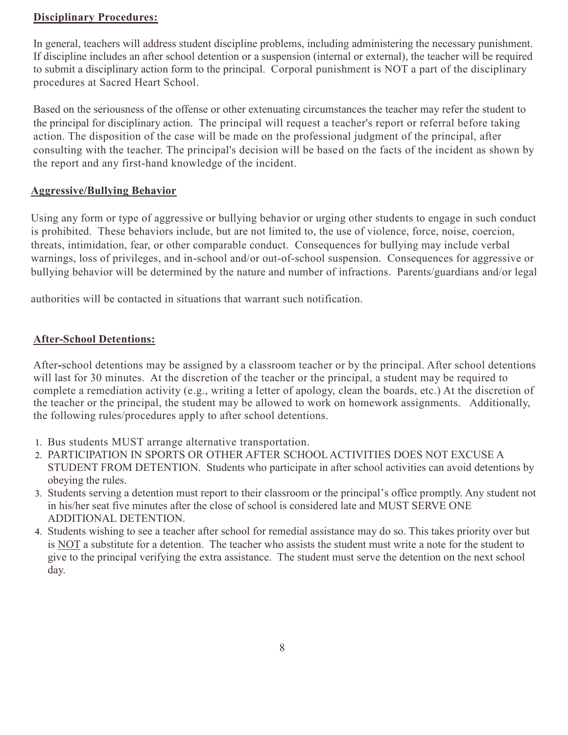#### **Disciplinary Procedures:**

In general, teachers will address student discipline problems, including administering the necessary punishment. If discipline includes an after school detention or a suspension (internal or external), the teacher will be required to submit a disciplinary action form to the principal. Corporal punishment is NOT a part of the disciplinary procedures at Sacred Heart School.

Based on the seriousness of the offense or other extenuating circumstances the teacher may refer the student to the principal for disciplinary action. The principal will request a teacher's report or referral before taking action. The disposition of the case will be made on the professional judgment of the principal, after consulting with the teacher. The principal's decision will be based on the facts of the incident as shown by the report and any first-hand knowledge of the incident.

#### **Aggressive/Bullying Behavior**

Using any form or type of aggressive or bullying behavior or urging other students to engage in such conduct is prohibited. These behaviors include, but are not limited to, the use of violence, force, noise, coercion, threats, intimidation, fear, or other comparable conduct. Consequences for bullying may include verbal warnings, loss of privileges, and in-school and/or out-of-school suspension. Consequences for aggressive or bullying behavior will be determined by the nature and number of infractions. Parents/guardians and/or legal

authorities will be contacted in situations that warrant such notification.

#### **After-School Detentions:**

After**-**school detentions may be assigned by a classroom teacher or by the principal. After school detentions will last for 30 minutes. At the discretion of the teacher or the principal, a student may be required to complete a remediation activity (e.g., writing a letter of apology, clean the boards, etc.) At the discretion of the teacher or the principal, the student may be allowed to work on homework assignments. Additionally, the following rules/procedures apply to after school detentions.

- 1. Bus students MUST arrange alternative transportation.
- 2. PARTICIPATION IN SPORTS OR OTHER AFTER SCHOOL ACTIVITIES DOES NOT EXCUSE A STUDENT FROM DETENTION. Students who participate in after school activities can avoid detentions by obeying the rules.
- 3. Students serving a detention must report to their classroom or the principal's office promptly. Any student not in his/her seat five minutes after the close of school is considered late and MUST SERVE ONE ADDITIONAL DETENTION.
- 4. Students wishing to see a teacher after school for remedial assistance may do so. This takes priority over but is NOT a substitute for a detention. The teacher who assists the student must write a note for the student to give to the principal verifying the extra assistance. The student must serve the detention on the next school day.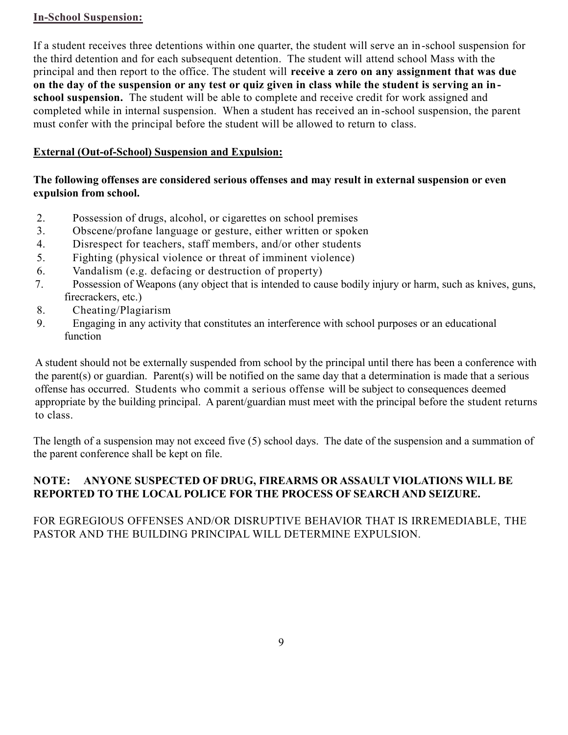#### **In-School Suspension:**

If a student receives three detentions within one quarter, the student will serve an in-school suspension for the third detention and for each subsequent detention. The student will attend school Mass with the principal and then report to the office. The student will **receive a zero on any assignment that was due on the day of the suspension or any test or quiz given in class while the student is serving an inschool suspension.** The student will be able to complete and receive credit for work assigned and completed while in internal suspension. When a student has received an in-school suspension, the parent must confer with the principal before the student will be allowed to return to class.

## **External (Out-of-School) Suspension and Expulsion:**

#### **The following offenses are considered serious offenses and may result in external suspension or even expulsion from school.**

- 2. Possession of drugs, alcohol, or cigarettes on school premises
- 3. Obscene/profane language or gesture, either written or spoken
- 4. Disrespect for teachers, staff members, and/or other students
- 5. Fighting (physical violence or threat of imminent violence)
- 6. Vandalism (e.g. defacing or destruction of property)
- 7. Possession of Weapons (any object that is intended to cause bodily injury or harm, such as knives, guns, firecrackers, etc.)
- 8. Cheating/Plagiarism
- 9. Engaging in any activity that constitutes an interference with school purposes or an educational function

A student should not be externally suspended from school by the principal until there has been a conference with the parent(s) or guardian. Parent(s) will be notified on the same day that a determination is made that a serious offense has occurred. Students who commit a serious offense will be subject to consequences deemed appropriate by the building principal. A parent/guardian must meet with the principal before the student returns to class.

The length of a suspension may not exceed five (5) school days. The date of the suspension and a summation of the parent conference shall be kept on file.

## **NOTE: ANYONE SUSPECTED OF DRUG, FIREARMS OR ASSAULT VIOLATIONS WILL BE REPORTED TO THE LOCAL POLICE FOR THE PROCESS OF SEARCH AND SEIZURE.**

## FOR EGREGIOUS OFFENSES AND/OR DISRUPTIVE BEHAVIOR THAT IS IRREMEDIABLE, THE PASTOR AND THE BUILDING PRINCIPAL WILL DETERMINE EXPULSION.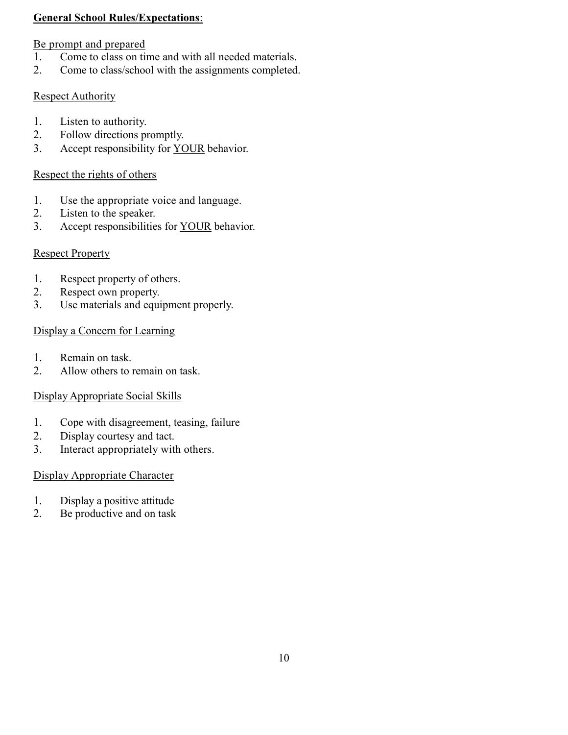#### **General School Rules/Expectations**:

#### Be prompt and prepared

- 1. Come to class on time and with all needed materials.
- 2. Come to class/school with the assignments completed.

## **Respect Authority**

- 1. Listen to authority.<br>2. Follow directions by
- Follow directions promptly.
- 3. Accept responsibility for YOUR behavior.

## Respect the rights of others

- 1. Use the appropriate voice and language.
- 2. Listen to the speaker.
- 3. Accept responsibilities for YOUR behavior.

## Respect Property

- 1. Respect property of others.<br>2. Respect own property.
- Respect own property.
- 3. Use materials and equipment properly.

## Display a Concern for Learning

- 1. Remain on task.
- 2. Allow others to remain on task.

## Display Appropriate Social Skills

- 1. Cope with disagreement, teasing, failure
- 2. Display courtesy and tact.
- 3. Interact appropriately with others.

#### Display Appropriate Character

- 1. Display a positive attitude
- 2. Be productive and on task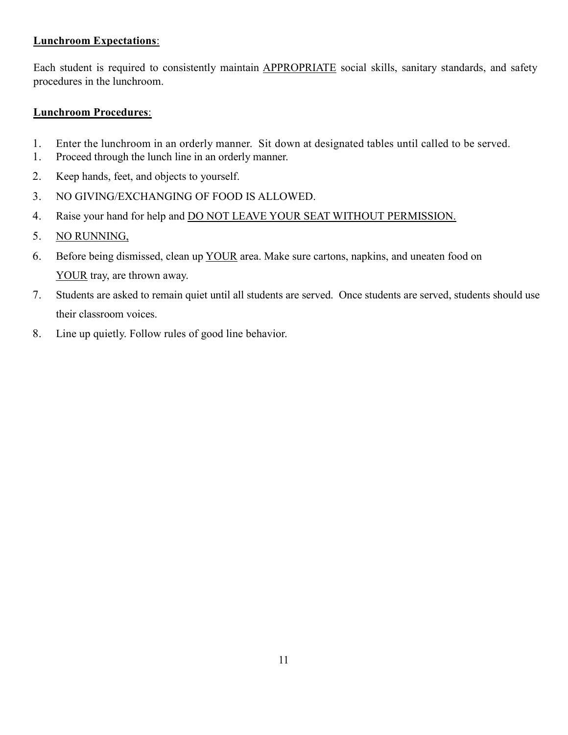#### **Lunchroom Expectations**:

Each student is required to consistently maintain APPROPRIATE social skills, sanitary standards, and safety procedures in the lunchroom.

#### **Lunchroom Procedures**:

- 1. Enter the lunchroom in an orderly manner. Sit down at designated tables until called to be served.
- 1. Proceed through the lunch line in an orderly manner.
- 2. Keep hands, feet, and objects to yourself.
- 3. NO GIVING/EXCHANGING OF FOOD IS ALLOWED.
- 4. Raise your hand for help and DO NOT LEAVE YOUR SEAT WITHOUT PERMISSION.
- 5. NO RUNNING,
- 6. Before being dismissed, clean up YOUR area. Make sure cartons, napkins, and uneaten food on YOUR tray, are thrown away.
- 7. Students are asked to remain quiet until all students are served. Once students are served, students should use their classroom voices.
- 8. Line up quietly. Follow rules of good line behavior.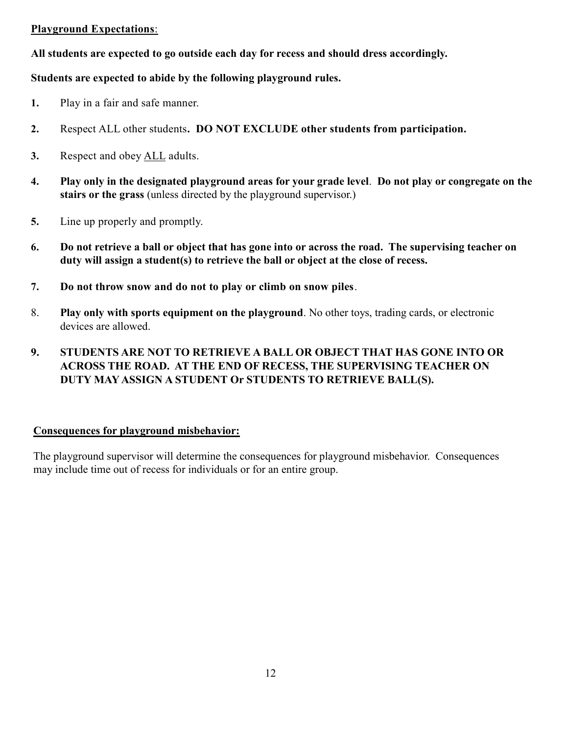#### **Playground Expectations**:

**All students are expected to go outside each day for recess and should dress accordingly.**

## **Students are expected to abide by the following playground rules.**

- **1.** Play in a fair and safe manner.
- **2.** Respect ALL other students**. DO NOT EXCLUDE other students from participation.**
- **3.** Respect and obey ALL adults.
- **4. Play only in the designated playground areas for your grade level**. **Do not play or congregate on the stairs or the grass** (unless directed by the playground supervisor.)
- **5.** Line up properly and promptly.
- **6. Do not retrieve a ball or object that has gone into or across the road. The supervising teacher on duty will assign a student(s) to retrieve the ball or object at the close of recess.**
- **7. Do not throw snow and do not to play or climb on snow piles**.
- 8. **Play only with sports equipment on the playground**. No other toys, trading cards, or electronic devices are allowed.
- **9. STUDENTS ARE NOT TO RETRIEVE A BALL OR OBJECT THAT HAS GONE INTO OR ACROSS THE ROAD. AT THE END OF RECESS, THE SUPERVISING TEACHER ON DUTY MAY ASSIGN A STUDENT Or STUDENTS TO RETRIEVE BALL(S).**

#### **Consequences for playground misbehavior:**

The playground supervisor will determine the consequences for playground misbehavior. Consequences may include time out of recess for individuals or for an entire group.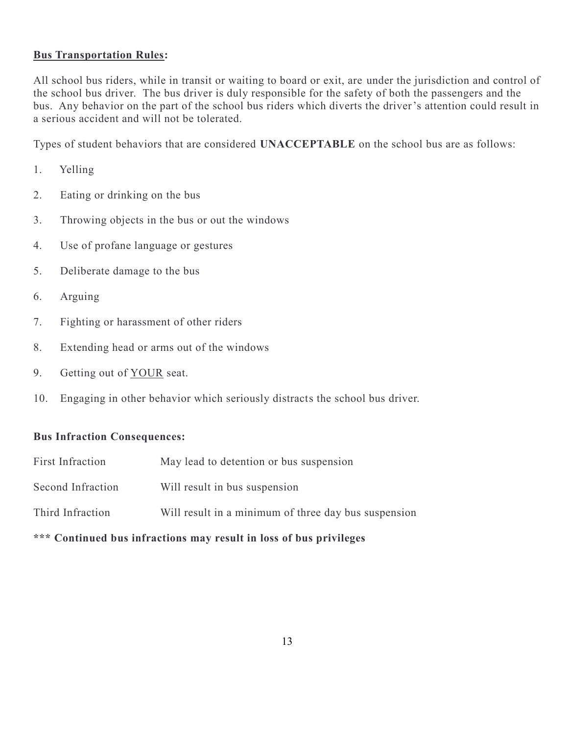#### **Bus Transportation Rules:**

All school bus riders, while in transit or waiting to board or exit, are under the jurisdiction and control of the school bus driver. The bus driver is duly responsible for the safety of both the passengers and the bus. Any behavior on the part of the school bus riders which diverts the driver's attention could result in a serious accident and will not be tolerated.

Types of student behaviors that are considered **UNACCEPTABLE** on the school bus are as follows:

- 1. Yelling
- 2. Eating or drinking on the bus
- 3. Throwing objects in the bus or out the windows
- 4. Use of profane language or gestures
- 5. Deliberate damage to the bus
- 6. Arguing
- 7. Fighting or harassment of other riders
- 8. Extending head or arms out of the windows
- 9. Getting out of YOUR seat.
- 10. Engaging in other behavior which seriously distracts the school bus driver.

#### **Bus Infraction Consequences:**

| *** Continued bus infractions may result in loss of bus privileges |                                                      |  |  |
|--------------------------------------------------------------------|------------------------------------------------------|--|--|
| Third Infraction                                                   | Will result in a minimum of three day bus suspension |  |  |
| Second Infraction                                                  | Will result in bus suspension                        |  |  |
| First Infraction                                                   | May lead to detention or bus suspension              |  |  |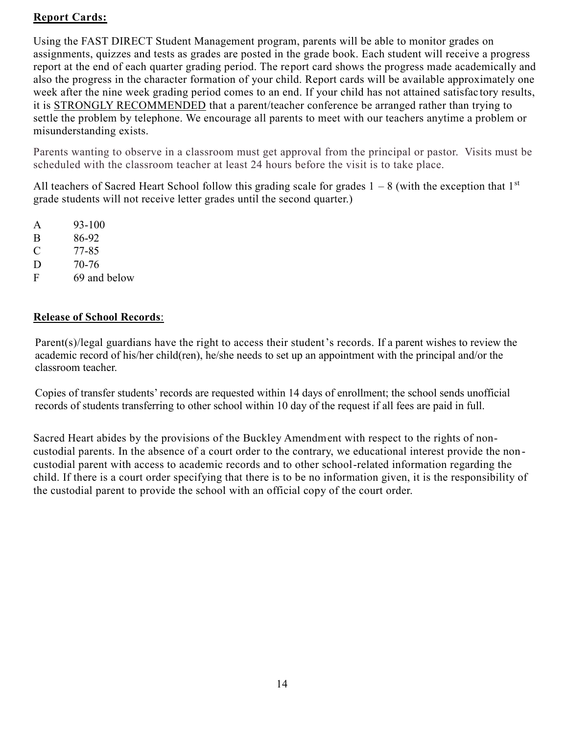## **Report Cards:**

Using the FAST DIRECT Student Management program, parents will be able to monitor grades on assignments, quizzes and tests as grades are posted in the grade book. Each student will receive a progress report at the end of each quarter grading period. The report card shows the progress made academically and also the progress in the character formation of your child. Report cards will be available approximately one week after the nine week grading period comes to an end. If your child has not attained satisfac tory results, it is STRONGLY RECOMMENDED that a parent/teacher conference be arranged rather than trying to settle the problem by telephone. We encourage all parents to meet with our teachers anytime a problem or misunderstanding exists.

Parents wanting to observe in a classroom must get approval from the principal or pastor. Visits must be scheduled with the classroom teacher at least 24 hours before the visit is to take place.

All teachers of Sacred Heart School follow this grading scale for grades  $1 - 8$  (with the exception that  $1<sup>st</sup>$ grade students will not receive letter grades until the second quarter.)

- A 93-100
- B 86-92
- C 77-85
- D 70-76
- F 69 and below

## **Release of School Records**:

Parent(s)/legal guardians have the right to access their student's records. If a parent wishes to review the academic record of his/her child(ren), he/she needs to set up an appointment with the principal and/or the classroom teacher.

Copies of transfer students' records are requested within 14 days of enrollment; the school sends unofficial records of students transferring to other school within 10 day of the request if all fees are paid in full.

Sacred Heart abides by the provisions of the Buckley Amendment with respect to the rights of noncustodial parents. In the absence of a court order to the contrary, we educational interest provide the non custodial parent with access to academic records and to other school-related information regarding the child. If there is a court order specifying that there is to be no information given, it is the responsibility of the custodial parent to provide the school with an official copy of the court order.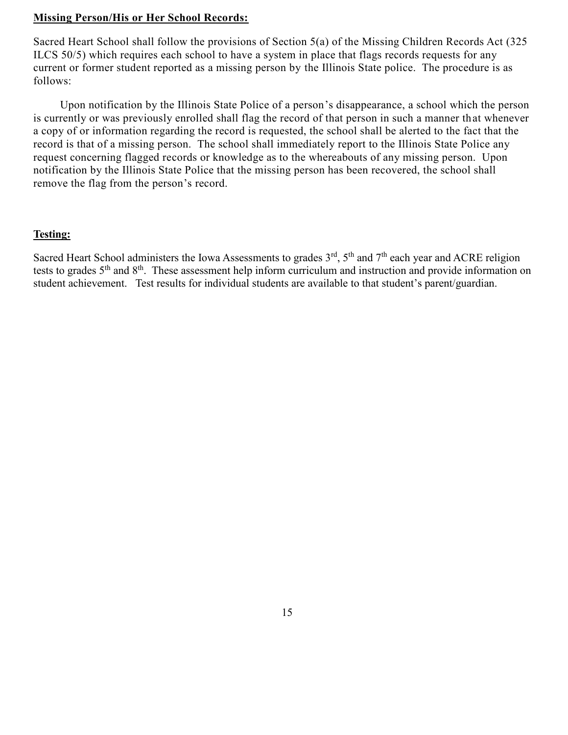#### **Missing Person/His or Her School Records:**

Sacred Heart School shall follow the provisions of Section 5(a) of the Missing Children Records Act (325 ILCS 50/5) which requires each school to have a system in place that flags records requests for any current or former student reported as a missing person by the Illinois State police. The procedure is as follows:

Upon notification by the Illinois State Police of a person's disappearance, a school which the person is currently or was previously enrolled shall flag the record of that person in such a manner that whenever a copy of or information regarding the record is requested, the school shall be alerted to the fact that the record is that of a missing person. The school shall immediately report to the Illinois State Police any request concerning flagged records or knowledge as to the whereabouts of any missing person. Upon notification by the Illinois State Police that the missing person has been recovered, the school shall remove the flag from the person's record.

#### **Testing:**

Sacred Heart School administers the Iowa Assessments to grades  $3<sup>rd</sup>$ ,  $5<sup>th</sup>$  and  $7<sup>th</sup>$  each year and ACRE religion tests to grades 5th and 8th. These assessment help inform curriculum and instruction and provide information on student achievement. Test results for individual students are available to that student's parent/guardian.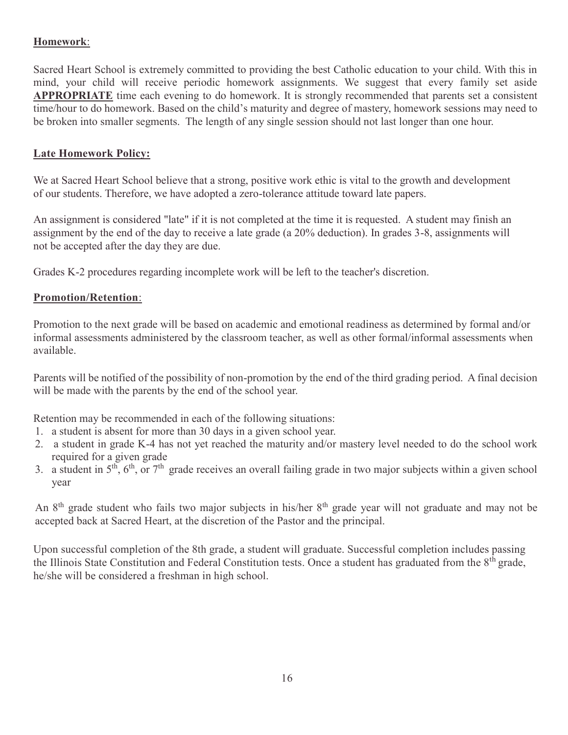## **Homework**:

Sacred Heart School is extremely committed to providing the best Catholic education to your child. With this in mind, your child will receive periodic homework assignments. We suggest that every family set aside **APPROPRIATE** time each evening to do homework. It is strongly recommended that parents set a consistent time/hour to do homework. Based on the child's maturity and degree of mastery, homework sessions may need to be broken into smaller segments. The length of any single session should not last longer than one hour.

## **Late Homework Policy:**

We at Sacred Heart School believe that a strong, positive work ethic is vital to the growth and development of our students. Therefore, we have adopted a zero-tolerance attitude toward late papers.

An assignment is considered "late" if it is not completed at the time it is requested. A student may finish an assignment by the end of the day to receive a late grade (a 20% deduction). In grades 3-8, assignments will not be accepted after the day they are due.

Grades K-2 procedures regarding incomplete work will be left to the teacher's discretion.

#### **Promotion/Retention**:

Promotion to the next grade will be based on academic and emotional readiness as determined by formal and/or informal assessments administered by the classroom teacher, as well as other formal/informal assessments when available.

Parents will be notified of the possibility of non-promotion by the end of the third grading period. A final decision will be made with the parents by the end of the school year.

Retention may be recommended in each of the following situations:

- 1. a student is absent for more than 30 days in a given school year.
- 2. a student in grade K-4 has not yet reached the maturity and/or mastery level needed to do the school work required for a given grade
- 3. a student in  $5<sup>th</sup>$ ,  $6<sup>th</sup>$ , or  $7<sup>th</sup>$  grade receives an overall failing grade in two major subjects within a given school year

An 8<sup>th</sup> grade student who fails two major subjects in his/her 8<sup>th</sup> grade year will not graduate and may not be accepted back at Sacred Heart, at the discretion of the Pastor and the principal.

Upon successful completion of the 8th grade, a student will graduate. Successful completion includes passing the Illinois State Constitution and Federal Constitution tests. Once a student has graduated from the 8<sup>th</sup> grade, he/she will be considered a freshman in high school.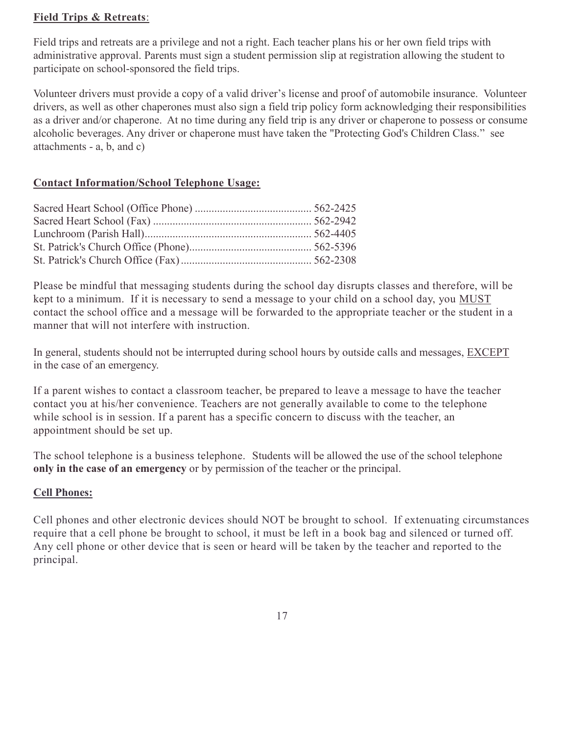#### **Field Trips & Retreats**:

Field trips and retreats are a privilege and not a right. Each teacher plans his or her own field trips with administrative approval. Parents must sign a student permission slip at registration allowing the student to participate on school-sponsored the field trips.

Volunteer drivers must provide a copy of a valid driver's license and proof of automobile insurance. Volunteer drivers, as well as other chaperones must also sign a field trip policy form acknowledging their responsibilities as a driver and/or chaperone. At no time during any field trip is any driver or chaperone to possess or consume alcoholic beverages. Any driver or chaperone must have taken the "Protecting God's Children Class." see attachments - a, b, and c)

#### **Contact Information/School Telephone Usage:**

Please be mindful that messaging students during the school day disrupts classes and therefore, will be kept to a minimum. If it is necessary to send a message to your child on a school day, you MUST contact the school office and a message will be forwarded to the appropriate teacher or the student in a manner that will not interfere with instruction.

In general, students should not be interrupted during school hours by outside calls and messages, EXCEPT in the case of an emergency.

If a parent wishes to contact a classroom teacher, be prepared to leave a message to have the teacher contact you at his/her convenience. Teachers are not generally available to come to the telephone while school is in session. If a parent has a specific concern to discuss with the teacher, an appointment should be set up.

The school telephone is a business telephone. Students will be allowed the use of the school telephone **only in the case of an emergency** or by permission of the teacher or the principal.

#### **Cell Phones:**

Cell phones and other electronic devices should NOT be brought to school. If extenuating circumstances require that a cell phone be brought to school, it must be left in a book bag and silenced or turned off. Any cell phone or other device that is seen or heard will be taken by the teacher and reported to the principal.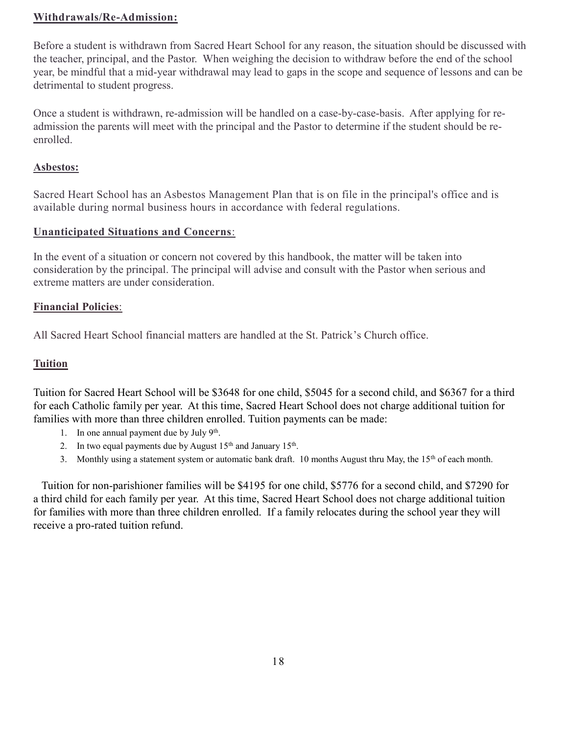#### **Withdrawals/Re-Admission:**

Before a student is withdrawn from Sacred Heart School for any reason, the situation should be discussed with the teacher, principal, and the Pastor. When weighing the decision to withdraw before the end of the school year, be mindful that a mid-year withdrawal may lead to gaps in the scope and sequence of lessons and can be detrimental to student progress.

Once a student is withdrawn, re-admission will be handled on a case-by-case-basis. After applying for readmission the parents will meet with the principal and the Pastor to determine if the student should be reenrolled.

#### **Asbestos:**

Sacred Heart School has an Asbestos Management Plan that is on file in the principal's office and is available during normal business hours in accordance with federal regulations.

#### **Unanticipated Situations and Concerns**:

In the event of a situation or concern not covered by this handbook, the matter will be taken into consideration by the principal. The principal will advise and consult with the Pastor when serious and extreme matters are under consideration.

#### **Financial Policies**:

All Sacred Heart School financial matters are handled at the St. Patrick's Church office.

#### **Tuition**

Tuition for Sacred Heart School will be \$3648 for one child, \$5045 for a second child, and \$6367 for a third for each Catholic family per year. At this time, Sacred Heart School does not charge additional tuition for families with more than three children enrolled. Tuition payments can be made:

- 1. In one annual payment due by July 9<sup>th</sup>.
- 2. In two equal payments due by August  $15<sup>th</sup>$  and January  $15<sup>th</sup>$ .
- 3. Monthly using a statement system or automatic bank draft. 10 months August thru May, the 15<sup>th</sup> of each month.

 Tuition for non-parishioner families will be \$4195 for one child, \$5776 for a second child, and \$7290 for a third child for each family per year. At this time, Sacred Heart School does not charge additional tuition for families with more than three children enrolled. If a family relocates during the school year they will receive a pro-rated tuition refund.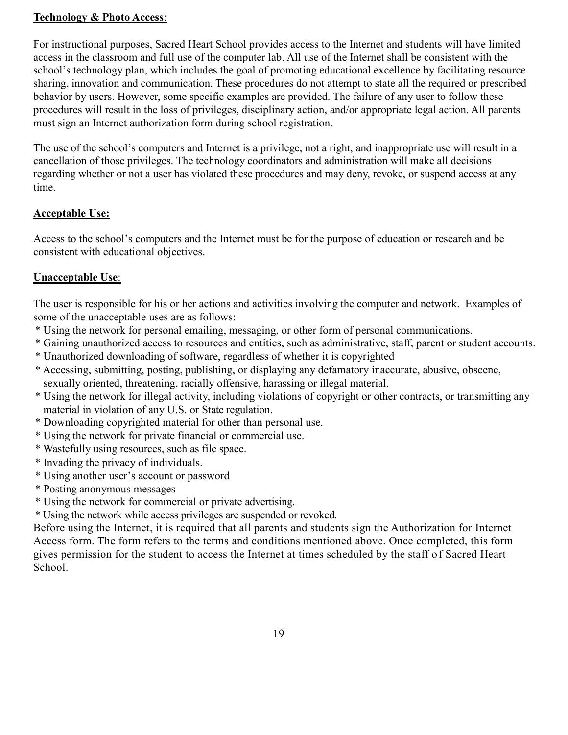#### **Technology & Photo Access**:

For instructional purposes, Sacred Heart School provides access to the Internet and students will have limited access in the classroom and full use of the computer lab. All use of the Internet shall be consistent with the school's technology plan, which includes the goal of promoting educational excellence by facilitating resource sharing, innovation and communication. These procedures do not attempt to state all the required or prescribed behavior by users. However, some specific examples are provided. The failure of any user to follow these procedures will result in the loss of privileges, disciplinary action, and/or appropriate legal action. All parents must sign an Internet authorization form during school registration.

The use of the school's computers and Internet is a privilege, not a right, and inappropriate use will result in a cancellation of those privileges. The technology coordinators and administration will make all decisions regarding whether or not a user has violated these procedures and may deny, revoke, or suspend access at any time.

## **Acceptable Use:**

Access to the school's computers and the Internet must be for the purpose of education or research and be consistent with educational objectives.

## **Unacceptable Use**:

The user is responsible for his or her actions and activities involving the computer and network. Examples of some of the unacceptable uses are as follows:

- \* Using the network for personal emailing, messaging, or other form of personal communications.
- \* Gaining unauthorized access to resources and entities, such as administrative, staff, parent or student accounts.
- \* Unauthorized downloading of software, regardless of whether it is copyrighted
- \* Accessing, submitting, posting, publishing, or displaying any defamatory inaccurate, abusive, obscene, sexually oriented, threatening, racially offensive, harassing or illegal material.
- \* Using the network for illegal activity, including violations of copyright or other contracts, or transmitting any material in violation of any U.S. or State regulation.
- \* Downloading copyrighted material for other than personal use.
- \* Using the network for private financial or commercial use.
- \* Wastefully using resources, such as file space.
- \* Invading the privacy of individuals.
- \* Using another user's account or password
- \* Posting anonymous messages
- \* Using the network for commercial or private advertising.

\* Using the network while access privileges are suspended or revoked.

Before using the Internet, it is required that all parents and students sign the Authorization for Internet Access form. The form refers to the terms and conditions mentioned above. Once completed, this form gives permission for the student to access the Internet at times scheduled by the staff of Sacred Heart School.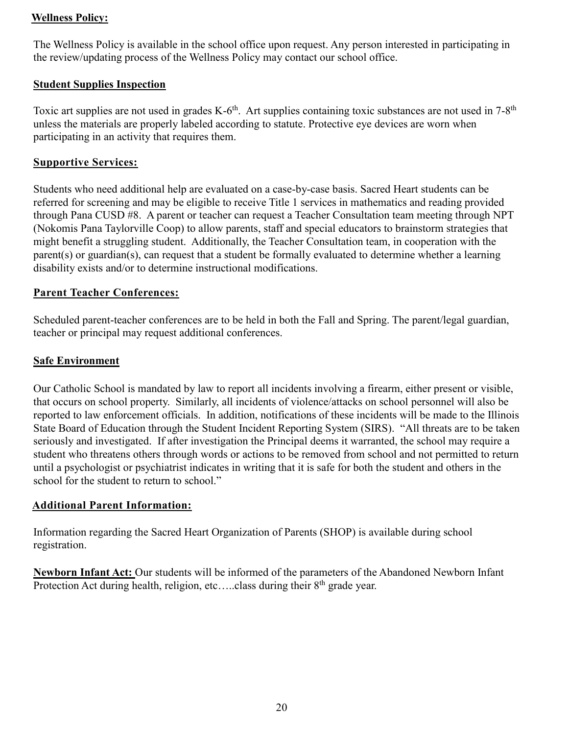#### **Wellness Policy:**

The Wellness Policy is available in the school office upon request. Any person interested in participating in the review/updating process of the Wellness Policy may contact our school office.

#### **Student Supplies Inspection**

Toxic art supplies are not used in grades K-6<sup>th</sup>. Art supplies containing toxic substances are not used in  $7-8$ <sup>th</sup> unless the materials are properly labeled according to statute. Protective eye devices are worn when participating in an activity that requires them.

#### **Supportive Services:**

Students who need additional help are evaluated on a case-by-case basis. Sacred Heart students can be referred for screening and may be eligible to receive Title 1 services in mathematics and reading provided through Pana CUSD #8. A parent or teacher can request a Teacher Consultation team meeting through NPT (Nokomis Pana Taylorville Coop) to allow parents, staff and special educators to brainstorm strategies that might benefit a struggling student. Additionally, the Teacher Consultation team, in cooperation with the parent(s) or guardian(s), can request that a student be formally evaluated to determine whether a learning disability exists and/or to determine instructional modifications.

#### **Parent Teacher Conferences:**

Scheduled parent-teacher conferences are to be held in both the Fall and Spring. The parent/legal guardian, teacher or principal may request additional conferences.

#### **Safe Environment**

Our Catholic School is mandated by law to report all incidents involving a firearm, either present or visible, that occurs on school property. Similarly, all incidents of violence/attacks on school personnel will also be reported to law enforcement officials. In addition, notifications of these incidents will be made to the Illinois State Board of Education through the Student Incident Reporting System (SIRS). "All threats are to be taken seriously and investigated. If after investigation the Principal deems it warranted, the school may require a student who threatens others through words or actions to be removed from school and not permitted to return until a psychologist or psychiatrist indicates in writing that it is safe for both the student and others in the school for the student to return to school."

#### **Additional Parent Information:**

Information regarding the Sacred Heart Organization of Parents (SHOP) is available during school registration.

**Newborn Infant Act:** Our students will be informed of the parameters of the Abandoned Newborn Infant Protection Act during health, religion, etc.....class during their  $8<sup>th</sup>$  grade year.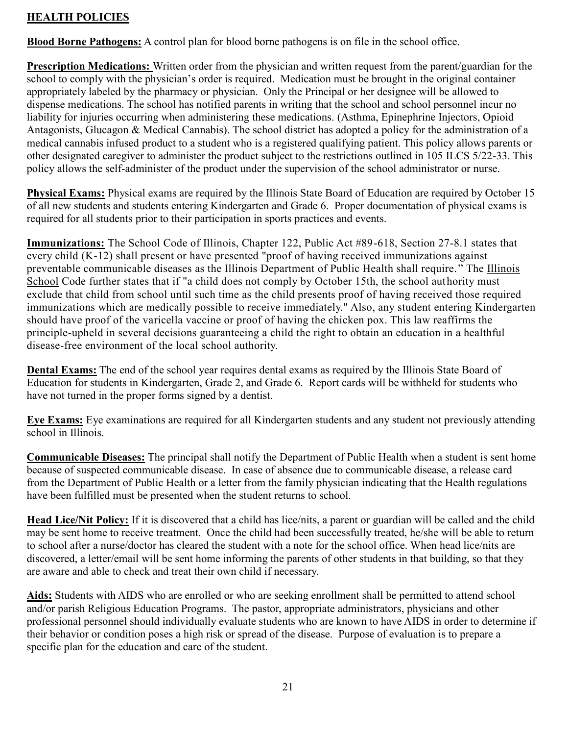## **HEALTH POLICIES**

**Blood Borne Pathogens:** A control plan for blood borne pathogens is on file in the school office.

**Prescription Medications:** Written order from the physician and written request from the parent/guardian for the school to comply with the physician's order is required. Medication must be brought in the original container appropriately labeled by the pharmacy or physician. Only the Principal or her designee will be allowed to dispense medications. The school has notified parents in writing that the school and school personnel incur no liability for injuries occurring when administering these medications. (Asthma, Epinephrine Injectors, Opioid Antagonists, Glucagon & Medical Cannabis). The school district has adopted a policy for the administration of a medical cannabis infused product to a student who is a registered qualifying patient. This policy allows parents or other designated caregiver to administer the product subject to the restrictions outlined in 105 ILCS 5/22-33. This policy allows the self-administer of the product under the supervision of the school administrator or nurse.

**Physical Exams:** Physical exams are required by the Illinois State Board of Education are required by October 15 of all new students and students entering Kindergarten and Grade 6. Proper documentation of physical exams is required for all students prior to their participation in sports practices and events.

**Immunizations:** The School Code of Illinois, Chapter 122, Public Act #89-618, Section 27-8.1 states that every child (K-12) shall present or have presented "proof of having received immunizations against preventable communicable diseases as the Illinois Department of Public Health shall require. " The Illinois School Code further states that if "a child does not comply by October 15th, the school authority must exclude that child from school until such time as the child presents proof of having received those required immunizations which are medically possible to receive immediately." Also, any student entering Kindergarten should have proof of the varicella vaccine or proof of having the chicken pox. This law reaffirms the principle-upheld in several decisions guaranteeing a child the right to obtain an education in a healthful disease-free environment of the local school authority.

**Dental Exams:** The end of the school year requires dental exams as required by the Illinois State Board of Education for students in Kindergarten, Grade 2, and Grade 6. Report cards will be withheld for students who have not turned in the proper forms signed by a dentist.

**Eye Exams:** Eye examinations are required for all Kindergarten students and any student not previously attending school in Illinois.

**Communicable Diseases:** The principal shall notify the Department of Public Health when a student is sent home because of suspected communicable disease. In case of absence due to communicable disease, a release card from the Department of Public Health or a letter from the family physician indicating that the Health regulations have been fulfilled must be presented when the student returns to school.

**Head Lice/Nit Policy:** If it is discovered that a child has lice/nits, a parent or guardian will be called and the child may be sent home to receive treatment. Once the child had been successfully treated, he/she will be able to return to school after a nurse/doctor has cleared the student with a note for the school office. When head lice/nits are discovered, a letter/email will be sent home informing the parents of other students in that building, so that they are aware and able to check and treat their own child if necessary.

**Aids:** Students with AIDS who are enrolled or who are seeking enrollment shall be permitted to attend school and/or parish Religious Education Programs. The pastor, appropriate administrators, physicians and other professional personnel should individually evaluate students who are known to have AIDS in order to determine if their behavior or condition poses a high risk or spread of the disease. Purpose of evaluation is to prepare a specific plan for the education and care of the student.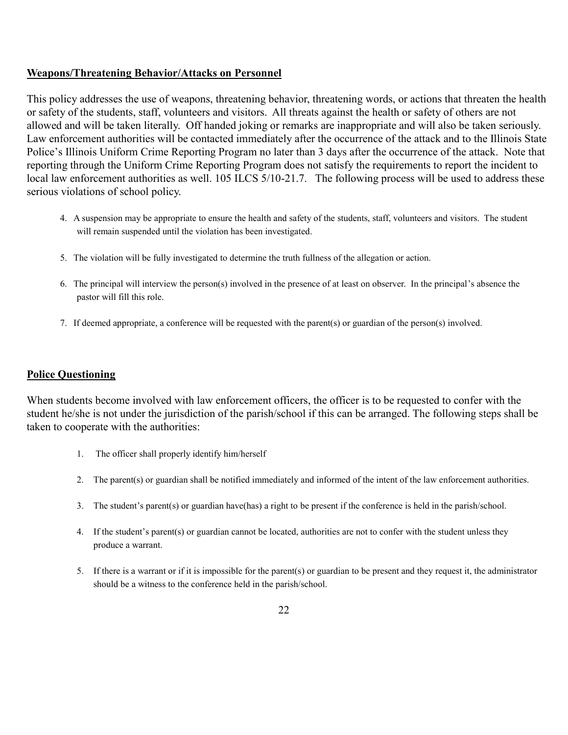#### **Weapons/Threatening Behavior/Attacks on Personnel**

This policy addresses the use of weapons, threatening behavior, threatening words, or actions that threaten the health or safety of the students, staff, volunteers and visitors. All threats against the health or safety of others are not allowed and will be taken literally. Off handed joking or remarks are inappropriate and will also be taken seriously. Law enforcement authorities will be contacted immediately after the occurrence of the attack and to the Illinois State Police's Illinois Uniform Crime Reporting Program no later than 3 days after the occurrence of the attack. Note that reporting through the Uniform Crime Reporting Program does not satisfy the requirements to report the incident to local law enforcement authorities as well. 105 ILCS 5/10-21.7. The following process will be used to address these serious violations of school policy.

- 4. A suspension may be appropriate to ensure the health and safety of the students, staff, volunteers and visitors. The student will remain suspended until the violation has been investigated.
- 5. The violation will be fully investigated to determine the truth fullness of the allegation or action.
- 6. The principal will interview the person(s) involved in the presence of at least on observer. In the principal's absence the pastor will fill this role.
- 7. If deemed appropriate, a conference will be requested with the parent(s) or guardian of the person(s) involved.

#### **Police Questioning**

When students become involved with law enforcement officers, the officer is to be requested to confer with the student he/she is not under the jurisdiction of the parish/school if this can be arranged. The following steps shall be taken to cooperate with the authorities:

- 1. The officer shall properly identify him/herself
- 2. The parent(s) or guardian shall be notified immediately and informed of the intent of the law enforcement authorities.
- 3. The student's parent(s) or guardian have(has) a right to be present if the conference is held in the parish/school.
- 4. If the student's parent(s) or guardian cannot be located, authorities are not to confer with the student unless they produce a warrant.
- 5. If there is a warrant or if it is impossible for the parent(s) or guardian to be present and they request it, the administrator should be a witness to the conference held in the parish/school.